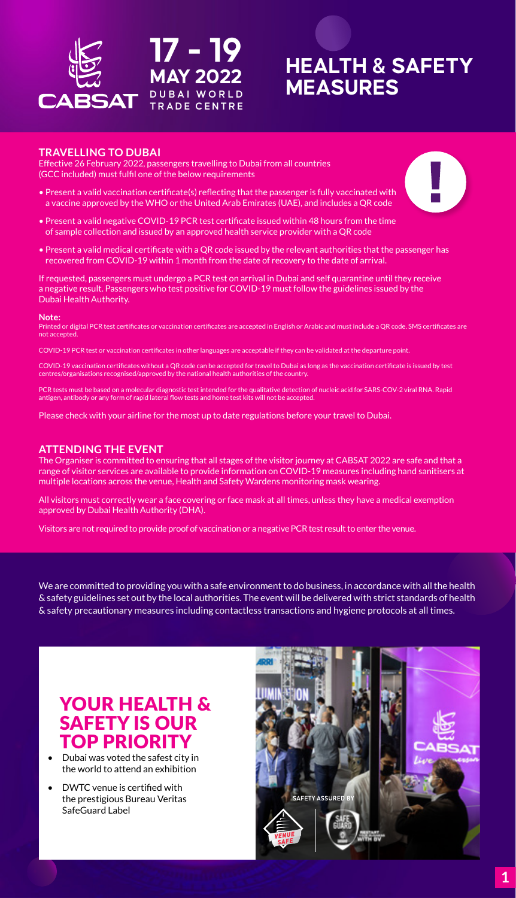

### **HEALTH & SAFETY MEASURES**

#### **TRAVELLING TO DUBAI**

Effective 26 February 2022, passengers travelling to Dubai from all countries (GCC included) must fulfil one of the below requirements

- Present a valid vaccination certificate(s) reflecting that the passenger is fully vaccinated with a vaccine approved by the WHO or the United Arab Emirates (UAE), and includes a QR code
- Present a valid negative COVID‑19 PCR test certificate issued within 48 hours from the time of sample collection and issued by an approved health service provider with a QR code
- Present a valid medical certificate with a QR code issued by the relevant authorities that the passenger has recovered from COVID‑19 within 1 month from the date of recovery to the date of arrival.

If requested, passengers must undergo a PCR test on arrival in Dubai and self quarantine until they receive a negative result. Passengers who test positive for COVID-19 must follow the guidelines issued by the Dubai Health Authority.

**Note:** Printed or digital PCR test certificates or vaccination certificates are accepted in English or Arabic and must include a QR code. SMS certificates are not accepted.

COVID‑19 PCR test or vaccination certificates in other languages are acceptable if they can be validated at the departure point.

COVID-19 vaccination certificates without a QR code can be accepted for travel to Dubai as long as the vaccination certificate is issued by test<br>centres/organisations recognised/approved by the national health authorities

PCR tests must be based on a molecular diagnostic test intended for the qualitative detection of nucleic acid for SARS-COV-2 viral RNA. Rapid<br>antigen, antibody or any form of rapid lateral flow tests and home test kits wil

Please check with your airline for the most up to date regulations before your travel to Dubai.

#### **ATTENDING THE EVENT**

The Organiser is committed to ensuring that all stages of the visitor journey at CABSAT 2022 are safe and that a range of visitor services are available to provide information on COVID-19 measures including hand sanitisers at multiple locations across the venue, Health and Safety Wardens monitoring mask wearing.

All visitors must correctly wear a face covering or face mask at all times, unless they have a medical exemption approved by Dubai Health Authority (DHA).

Visitors are not required to provide proof of vaccination or a negative PCR test result to enter the venue.

We are committed to providing you with a safe environment to do business, in accordance with all the health & safety guidelines set out by the local authorities. The event will be delivered with strict standards of health & safety precautionary measures including contactless transactions and hygiene protocols at all times.

### YOUR HEALTH & SAFETY IS OUR TOP PRIORIT

- Dubai was voted the safest city in the world to attend an exhibition
- DWTC venue is certified with the prestigious Bureau Veritas SafeGuard Label

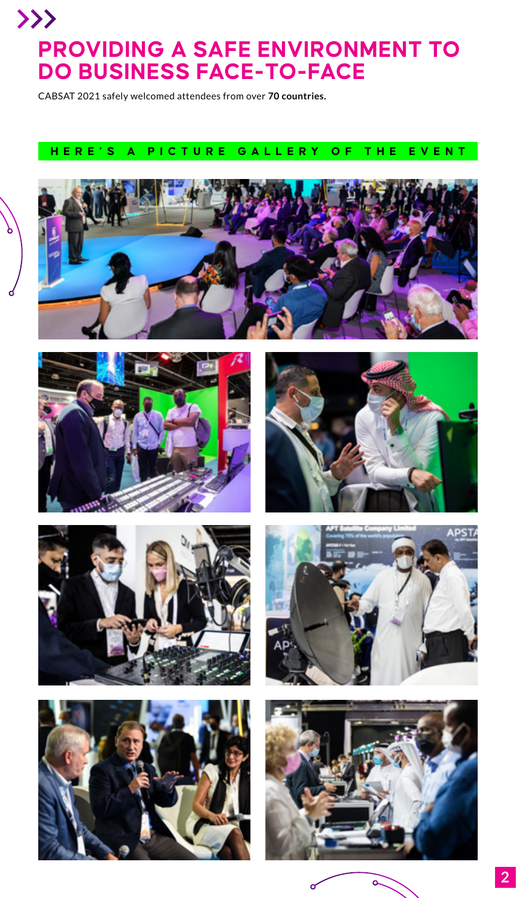## $\left\langle \right\rangle$ **PROVIDING A SAFE ENVIRONMENT TO DO BUSINESS FACE-TO-FACE**

CABSAT 2021 safely welcomed attendees from over **70 countries.**

### **HERE'S A PICTURE GALLERY OF THE EVENT**













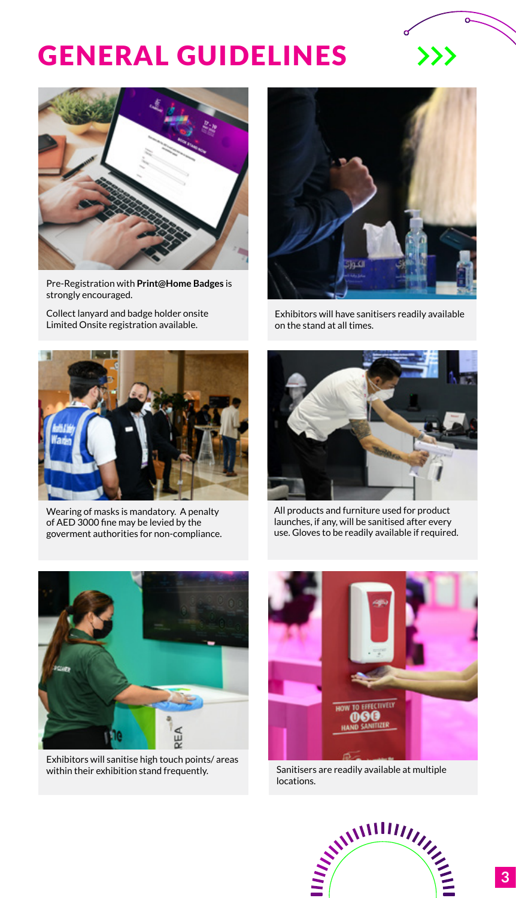# GENERAL GUIDELINES



Pre-Registration with **Print@Home Badges** is strongly encouraged.

Collect lanyard and badge holder onsite Limited Onsite registration available.



 $\gg$ 

Exhibitors will have sanitisers readily available on the stand at all times.



Wearing of masks is mandatory. A penalty of AED 3000 fine may be levied by the goverment authorities for non-compliance.



All products and furniture used for product launches, if any, will be sanitised after every use. Gloves to be readily available if required.



Exhibitors will sanitise high touch points/ areas within their exhibition stand frequently.



Sanitisers are readily available at multiple locations.

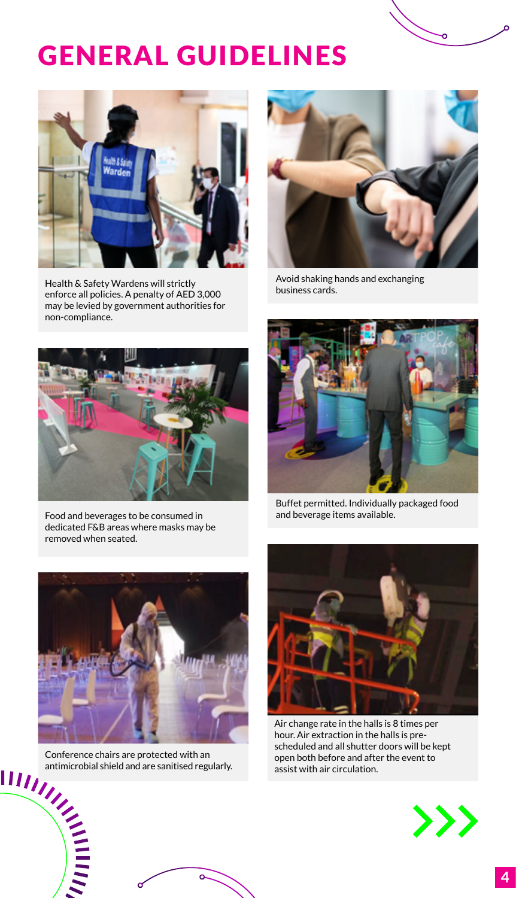# GENERAL GUIDELINES



Health & Safety Wardens will strictly enforce all policies. A penalty of AED 3,000 may be levied by government authorities for non-compliance.



Avoid shaking hands and exchanging business cards.



Food and beverages to be consumed in dedicated F&B areas where masks may be removed when seated.



Buffet permitted. Individually packaged food and beverage items available.



antimicrobial shield and are sanitised regularly.



Air change rate in the halls is 8 times per hour. Air extraction in the halls is prescheduled and all shutter doors will be kept open both before and after the event to assist with air circulation.